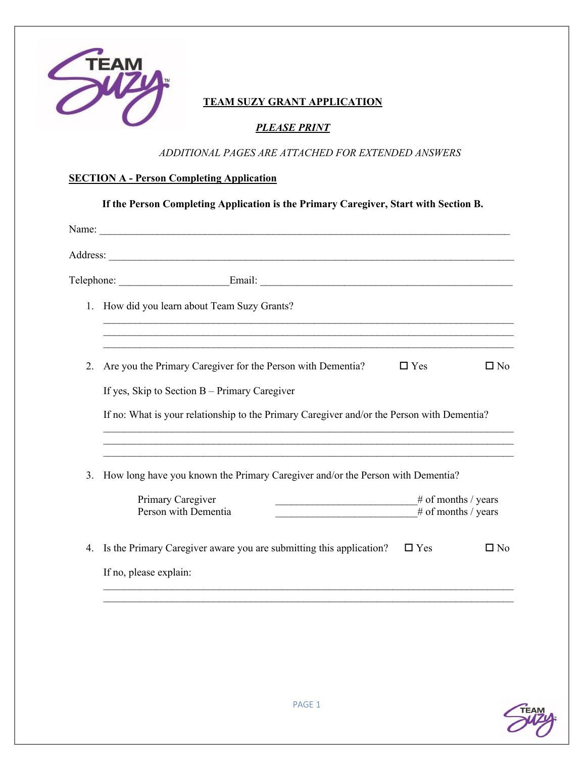

## **TEAM SUZY GRANT APPLICATION**

### *PLEASE PRINT*

### *ADDITIONAL PAGES ARE ATTACHED FOR EXTENDED ANSWERS*

### **SECTION A - Person Completing Application**

|    | Name: $\frac{1}{2}$                                                                        |                                            |              |
|----|--------------------------------------------------------------------------------------------|--------------------------------------------|--------------|
|    | Address:                                                                                   |                                            |              |
|    |                                                                                            |                                            |              |
|    | 1. How did you learn about Team Suzy Grants?                                               |                                            |              |
| 2. | Are you the Primary Caregiver for the Person with Dementia?                                | $\Box$ Yes                                 | $\square$ No |
|    | If yes, Skip to Section $B$ – Primary Caregiver                                            |                                            |              |
|    | If no: What is your relationship to the Primary Caregiver and/or the Person with Dementia? |                                            |              |
| 3. | How long have you known the Primary Caregiver and/or the Person with Dementia?             |                                            |              |
|    | Primary Caregiver<br>Person with Dementia                                                  | # of months / years<br># of months / years |              |
| 4. | Is the Primary Caregiver aware you are submitting this application?                        | $\Box$ Yes                                 | $\square$ No |
|    | If no, please explain:                                                                     |                                            |              |

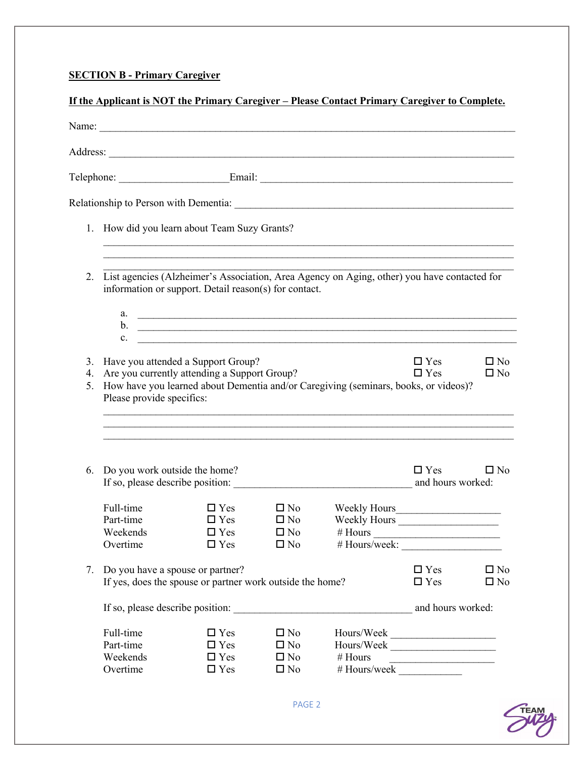## **SECTION B - Primary Caregiver**

|          |                                                |                                                                                       |                                                                   | <u>If the Applicant is NOT the Primary Caregiver – Please Contact Primary Caregiver to Complete.</u>                  |                                 |                              |
|----------|------------------------------------------------|---------------------------------------------------------------------------------------|-------------------------------------------------------------------|-----------------------------------------------------------------------------------------------------------------------|---------------------------------|------------------------------|
|          |                                                |                                                                                       |                                                                   | Name:                                                                                                                 |                                 |                              |
|          |                                                |                                                                                       |                                                                   |                                                                                                                       |                                 |                              |
|          |                                                |                                                                                       |                                                                   |                                                                                                                       |                                 |                              |
|          |                                                |                                                                                       |                                                                   |                                                                                                                       |                                 |                              |
|          |                                                | 1. How did you learn about Team Suzy Grants?                                          |                                                                   |                                                                                                                       |                                 |                              |
| 2.       |                                                | information or support. Detail reason(s) for contact.                                 |                                                                   | List agencies (Alzheimer's Association, Area Agency on Aging, other) you have contacted for                           |                                 |                              |
|          | b.<br>$\mathbf{c}$ .                           |                                                                                       |                                                                   | <u> 1980 - Johann Stoff, deutscher Stoff, der Stoff, der Stoff, der Stoff, der Stoff, der Stoff, der Stoff, der S</u> |                                 |                              |
| 4.<br>5. | Please provide specifics:                      | 3. Have you attended a Support Group?<br>Are you currently attending a Support Group? |                                                                   | How have you learned about Dementia and/or Caregiving (seminars, books, or videos)?                                   | $\Box$ Yes<br>$\Box$ Yes        | $\square$ No<br>$\square$ No |
| 6.       | Do you work outside the home?                  |                                                                                       |                                                                   | ,我们也不能在这里的人,我们也不能在这里的人,我们也不能在这里的人,我们也不能在这里的人,我们也不能在这里的人,我们也不能在这里的人,我们也不能在这里的人,我们也<br>If so, please describe position: | $\Box$ Yes<br>and hours worked: | $\square$ No                 |
|          | Full-time<br>Part-time<br>Weekends<br>Overtime | $\Box$ Yes<br>$\Box$ Yes<br>$\Box$ Yes                                                | $\square$ No<br>$\Box$ Yes $\Box$ No<br>$\square$ No<br>$\Box$ No | Weekly Hours                                                                                                          |                                 |                              |
|          | 7. Do you have a spouse or partner?            | If yes, does the spouse or partner work outside the home?                             |                                                                   |                                                                                                                       | $\Box$ Yes<br>$\Box$ Yes        | $\square$ No<br>$\square$ No |
|          |                                                |                                                                                       |                                                                   |                                                                                                                       | and hours worked:               |                              |
|          |                                                |                                                                                       | $\square$ No                                                      |                                                                                                                       |                                 |                              |



PAGE 2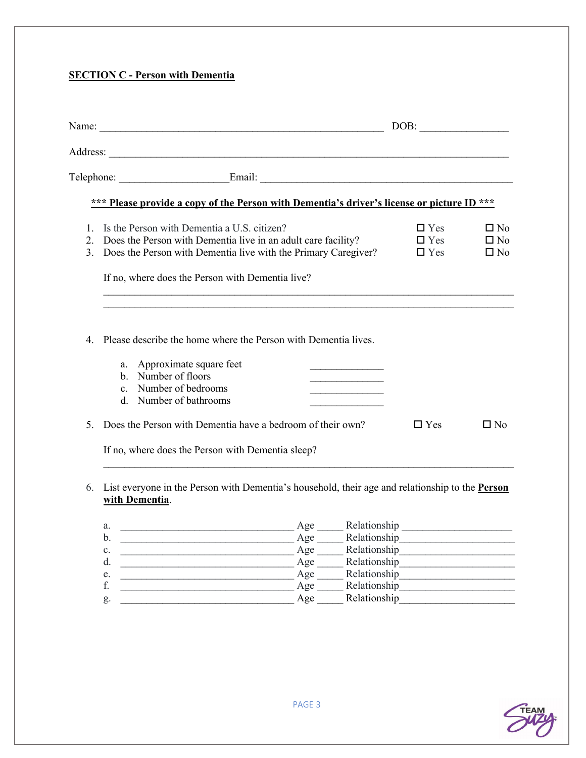## **SECTION C - Person with Dementia**

|                     |                                                                                                                                                                                                                                              | DOB:                                   |                                              |
|---------------------|----------------------------------------------------------------------------------------------------------------------------------------------------------------------------------------------------------------------------------------------|----------------------------------------|----------------------------------------------|
|                     |                                                                                                                                                                                                                                              |                                        |                                              |
|                     |                                                                                                                                                                                                                                              |                                        |                                              |
|                     | *** Please provide a copy of the Person with Dementia's driver's license or picture ID ***                                                                                                                                                   |                                        |                                              |
| 2.<br>$\mathcal{E}$ | Is the Person with Dementia a U.S. citizen?<br>Does the Person with Dementia live in an adult care facility?<br>Does the Person with Dementia live with the Primary Caregiver?<br>If no, where does the Person with Dementia live?           | $\Box$ Yes<br>$\Box$ Yes<br>$\Box$ Yes | $\square$ No<br>$\square$ No<br>$\square$ No |
|                     |                                                                                                                                                                                                                                              |                                        |                                              |
| 4.                  | Please describe the home where the Person with Dementia lives.<br>Approximate square feet<br>a.<br>the control of the control of the control of the<br>Number of floors<br>$\mathbf{b}$ .<br>c. Number of bedrooms<br>d. Number of bathrooms |                                        |                                              |
| 5.                  | Does the Person with Dementia have a bedroom of their own?<br>If no, where does the Person with Dementia sleep?                                                                                                                              | $\Box$ Yes                             | $\Box$ No                                    |

6. List everyone in the Person with Dementia's household, their age and relationship to the **Person with Dementia**.

| a.             | Relationship<br>Age |
|----------------|---------------------|
| b.             | Relationship<br>Age |
| $\mathbf{c}$ . | Relationship<br>Age |
| d.             | Relationship<br>Age |
| e.             | Relationship<br>Age |
|                | Relationship<br>Age |
| g.             | Relationship<br>Age |

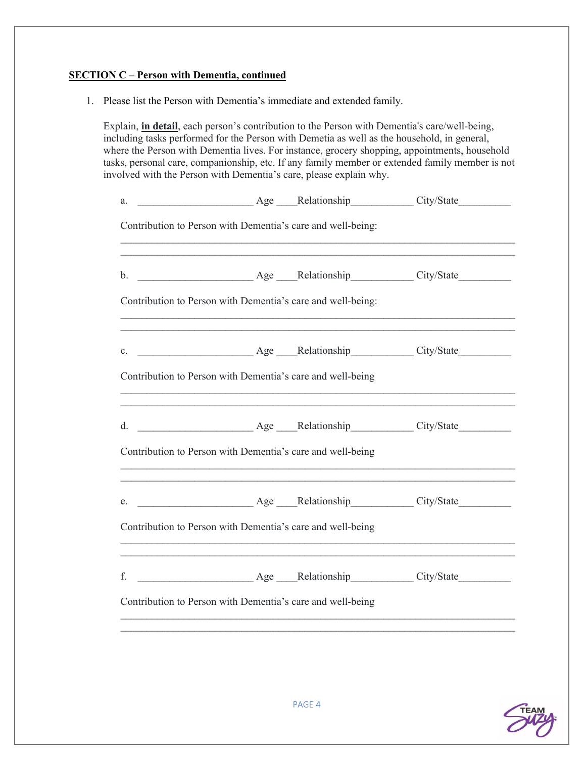#### **SECTION C – Person with Dementia, continued**

1. Please list the Person with Dementia's immediate and extended family.

Explain, **in detail**, each person's contribution to the Person with Dementia's care/well-being, including tasks performed for the Person with Demetia as well as the household, in general, where the Person with Dementia lives. For instance, grocery shopping, appointments, household tasks, personal care, companionship, etc. If any family member or extended family member is not involved with the Person with Dementia's care, please explain why.

| a.                                                                                      | Age Relationship City/State                                                      |  |
|-----------------------------------------------------------------------------------------|----------------------------------------------------------------------------------|--|
| Contribution to Person with Dementia's care and well-being:                             |                                                                                  |  |
|                                                                                         |                                                                                  |  |
| Contribution to Person with Dementia's care and well-being:                             |                                                                                  |  |
|                                                                                         |                                                                                  |  |
| Contribution to Person with Dementia's care and well-being                              |                                                                                  |  |
|                                                                                         |                                                                                  |  |
| Contribution to Person with Dementia's care and well-being                              | ,我们也不能在这里的时候,我们也不能在这里的时候,我们也不能在这里的时候,我们也不能会不能在这里的时候,我们也不能会不能会不能会不能会不能会不能会不能会不能会不 |  |
|                                                                                         |                                                                                  |  |
| Contribution to Person with Dementia's care and well-being                              |                                                                                  |  |
| ,我们也不能在这里的时候,我们也不能在这里的时候,我们也不能会在这里的时候,我们也不能会在这里的时候,我们也不能会在这里的时候,我们也不能会在这里的时候,我们也不<br>f. |                                                                                  |  |
| Contribution to Person with Dementia's care and well-being                              |                                                                                  |  |
|                                                                                         |                                                                                  |  |

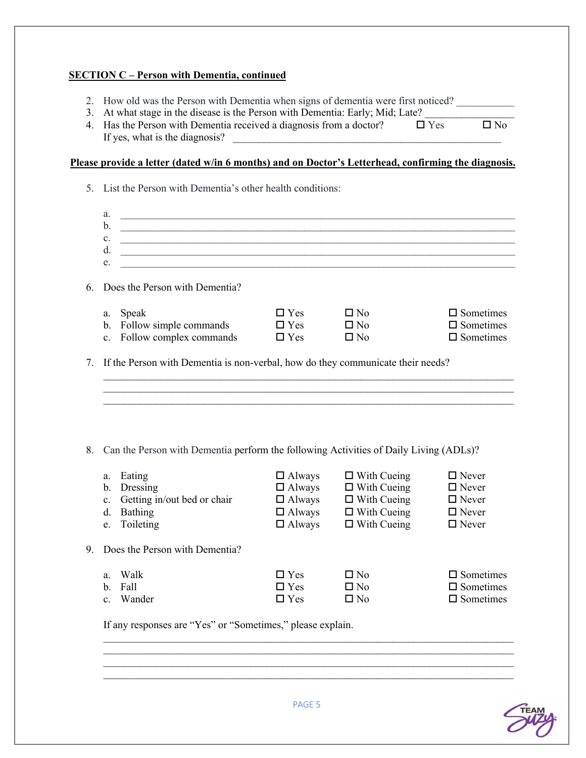#### **SECTION C – Person with Dementia, continued**

- 2. How old was the Person with Dementia when signs of dementia were first noticed?
- 3. At what stage in the disease is the Person with Dementia: Early; Mid; Late?
- 4. Has the Person with Dementia received a diagnosis from a doctor?  $\square$  Yes  $\square$  No If yes, what is the diagnosis?

### **Please provide a letter (dated w/in 6 months) and on Doctor's Letterhead, confirming the diagnosis.**

|    |                | 5. List the Person with Dementia's other health conditions:                                                           |               |                    |                     |
|----|----------------|-----------------------------------------------------------------------------------------------------------------------|---------------|--------------------|---------------------|
|    | a.             |                                                                                                                       |               |                    |                     |
|    | b.             | <u> 1989 - Johann Barn, mars ann an t-Amhain ann an t-Amhain an t-Amhain ann an t-Amhain an t-Amhain ann an t-Amh</u> |               |                    |                     |
|    | $\mathbf{c}$ . |                                                                                                                       |               |                    |                     |
|    | d.             | <u> 1980 - Johann Barn, mars ann an t-Amhain Aonaich an t-Aonaich an t-Aonaich ann an t-Aonaich ann an t-Aonaich</u>  |               |                    |                     |
|    | e.             |                                                                                                                       |               |                    |                     |
| 6. |                | Does the Person with Dementia?                                                                                        |               |                    |                     |
|    |                | a. Speak                                                                                                              | $\Box$ Yes    | $\square$ No       | $\square$ Sometimes |
|    |                | b. Follow simple commands                                                                                             | $\Box$ Yes    | $\square$ No       | $\square$ Sometimes |
|    |                | c. Follow complex commands                                                                                            | $\Box$ Yes    | $\square$ No       | $\square$ Sometimes |
| 7. |                | If the Person with Dementia is non-verbal, how do they communicate their needs?                                       |               |                    |                     |
|    |                |                                                                                                                       |               |                    |                     |
|    |                |                                                                                                                       |               |                    |                     |
|    |                |                                                                                                                       |               |                    |                     |
|    |                |                                                                                                                       |               |                    |                     |
| 8. |                | Can the Person with Dementia perform the following Activities of Daily Living (ADLs)?                                 |               |                    |                     |
|    |                |                                                                                                                       |               |                    |                     |
|    |                | a. Eating                                                                                                             | $\Box$ Always | $\Box$ With Cueing | $\square$ Never     |
|    |                | b. Dressing                                                                                                           | $\Box$ Always | $\Box$ With Cueing | $\Box$ Never        |
|    | $\mathbf{c}$ . | Getting in/out bed or chair                                                                                           | $\Box$ Always | $\Box$ With Cueing | $\Box$ Never        |
|    | d.             | Bathing                                                                                                               | $\Box$ Always | $\Box$ With Cueing | $\Box$ Never        |
|    | e.             | Toileting                                                                                                             | $\Box$ Always | $\Box$ With Cueing | $\Box$ Never        |
| 9. |                | Does the Person with Dementia?                                                                                        |               |                    |                     |
|    | a.             | Walk                                                                                                                  | $\Box$ Yes    | $\square$ No       | $\square$ Sometimes |
|    |                | b. Fall                                                                                                               | $\Box$ Yes    | $\Box$ No          | $\square$ Sometimes |
|    | $\mathbf{c}$ . | Wander                                                                                                                | $\Box$ Yes    | $\Box$ No          | $\square$ Sometimes |
|    |                | If any responses are "Yes" or "Sometimes," please explain.                                                            |               |                    |                     |
|    |                |                                                                                                                       |               |                    |                     |



 $\mathcal{L}_\text{max} = \frac{1}{2} \sum_{i=1}^n \mathcal{L}_\text{max} = \frac{1}{2} \sum_{i=1}^n \mathcal{L}_\text{max} = \frac{1}{2} \sum_{i=1}^n \mathcal{L}_\text{max} = \frac{1}{2} \sum_{i=1}^n \mathcal{L}_\text{max} = \frac{1}{2} \sum_{i=1}^n \mathcal{L}_\text{max} = \frac{1}{2} \sum_{i=1}^n \mathcal{L}_\text{max} = \frac{1}{2} \sum_{i=1}^n \mathcal{L}_\text{max} = \frac{1}{2} \sum_{i=$  $\mathcal{L}_\text{max} = \frac{1}{2} \sum_{i=1}^n \mathcal{L}_\text{max} = \frac{1}{2} \sum_{i=1}^n \mathcal{L}_\text{max} = \frac{1}{2} \sum_{i=1}^n \mathcal{L}_\text{max} = \frac{1}{2} \sum_{i=1}^n \mathcal{L}_\text{max} = \frac{1}{2} \sum_{i=1}^n \mathcal{L}_\text{max} = \frac{1}{2} \sum_{i=1}^n \mathcal{L}_\text{max} = \frac{1}{2} \sum_{i=1}^n \mathcal{L}_\text{max} = \frac{1}{2} \sum_{i=$  $\mathcal{L}_\text{max}$  and  $\mathcal{L}_\text{max}$  and  $\mathcal{L}_\text{max}$  and  $\mathcal{L}_\text{max}$  and  $\mathcal{L}_\text{max}$  and  $\mathcal{L}_\text{max}$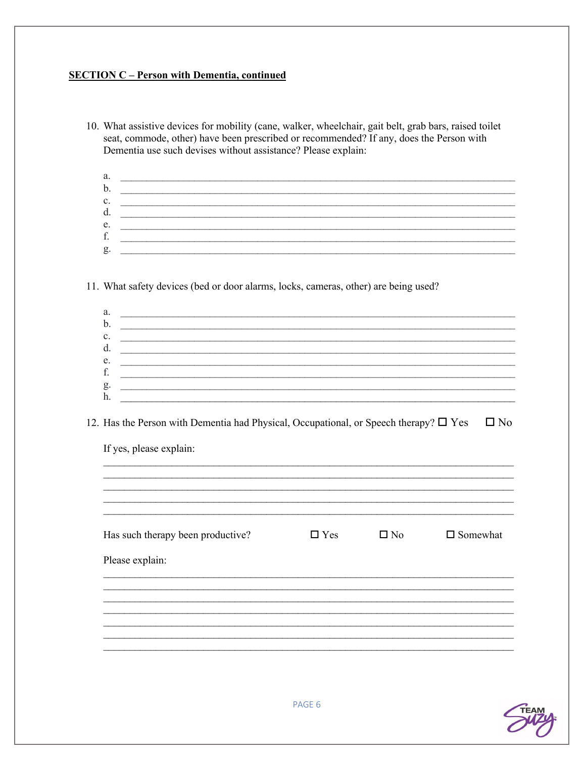## **SECTION C - Person with Dementia, continued**

| seat, commode, other) have been prescribed or recommended? If any, does the Person with<br>Dementia use such devises without assistance? Please explain:                                                                                                  |            |              | 10. What assistive devices for mobility (cane, walker, wheelchair, gait belt, grab bars, raised toilet |
|-----------------------------------------------------------------------------------------------------------------------------------------------------------------------------------------------------------------------------------------------------------|------------|--------------|--------------------------------------------------------------------------------------------------------|
| a.<br><u> 1989 - Johann Stoff, deutscher Stoff, der Stoff, der Stoff, der Stoff, der Stoff, der Stoff, der Stoff, der S</u>                                                                                                                               |            |              |                                                                                                        |
| b.                                                                                                                                                                                                                                                        |            |              |                                                                                                        |
| c.<br><u> 1989 - Johann Barbara, marka a shekara tsa 1989 - An tsa 1989 - An tsa 1989 - An tsa 1989 - An tsa 1989 - An</u>                                                                                                                                |            |              |                                                                                                        |
| d.<br><u> 1989 - Johann John Harry Harry Harry Harry Harry Harry Harry Harry Harry Harry Harry Harry Harry Harry Harry</u><br>e.<br><u> 1989 - John Stoff, deutscher Stoff, der Stoff, der Stoff, der Stoff, der Stoff, der Stoff, der Stoff, der Sto</u> |            |              |                                                                                                        |
| f.<br><u> 1989 - Johann Stoff, deutscher Stoffen und der Stoffen und der Stoffen und der Stoffen und der Stoffen und der</u>                                                                                                                              |            |              |                                                                                                        |
| g.                                                                                                                                                                                                                                                        |            |              |                                                                                                        |
| 11. What safety devices (bed or door alarms, locks, cameras, other) are being used?                                                                                                                                                                       |            |              |                                                                                                        |
| a.<br><u> 1980 - Jan Samuel Barbara, margaret eta biztanleria (h. 1980).</u>                                                                                                                                                                              |            |              |                                                                                                        |
| b.<br><u> 1989 - John Stein, Amerikaansk politiker (* 1918)</u>                                                                                                                                                                                           |            |              |                                                                                                        |
| c.<br><u> 1989 - Johann John Stone, mars and deutscher Stone († 1989)</u><br>d.                                                                                                                                                                           |            |              |                                                                                                        |
| and the control of the control of the control of the control of the control of the control of the control of the<br>e.                                                                                                                                    |            |              |                                                                                                        |
| f.                                                                                                                                                                                                                                                        |            |              |                                                                                                        |
| g.                                                                                                                                                                                                                                                        |            |              |                                                                                                        |
| h.                                                                                                                                                                                                                                                        |            |              |                                                                                                        |
| 12. Has the Person with Dementia had Physical, Occupational, or Speech therapy? $\Box$ Yes                                                                                                                                                                |            |              | $\square$ No                                                                                           |
| If yes, please explain:                                                                                                                                                                                                                                   |            |              |                                                                                                        |
|                                                                                                                                                                                                                                                           |            |              |                                                                                                        |
|                                                                                                                                                                                                                                                           |            |              |                                                                                                        |
| Has such therapy been productive?                                                                                                                                                                                                                         | $\Box$ Yes | $\square$ No | $\square$ Somewhat                                                                                     |
| Please explain:                                                                                                                                                                                                                                           |            |              |                                                                                                        |
|                                                                                                                                                                                                                                                           |            |              |                                                                                                        |
|                                                                                                                                                                                                                                                           |            |              |                                                                                                        |
|                                                                                                                                                                                                                                                           |            |              |                                                                                                        |
|                                                                                                                                                                                                                                                           |            |              |                                                                                                        |
|                                                                                                                                                                                                                                                           |            |              |                                                                                                        |
|                                                                                                                                                                                                                                                           |            |              |                                                                                                        |

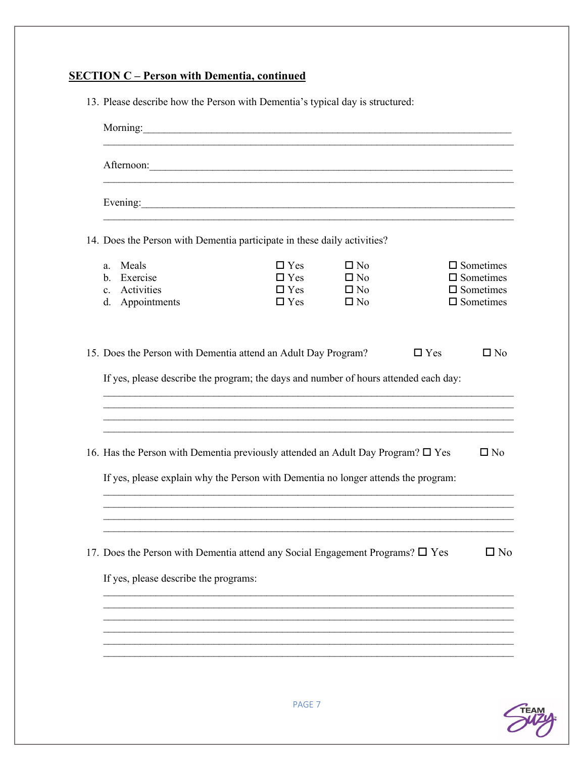# **SECTION C - Person with Dementia, continued**

|                                                                                                                                                                                                                                      | Morning: Morning:                                    |                                                           |            |                                                                                          |
|--------------------------------------------------------------------------------------------------------------------------------------------------------------------------------------------------------------------------------------|------------------------------------------------------|-----------------------------------------------------------|------------|------------------------------------------------------------------------------------------|
| Afternoon: <u>and the contract of the contract of the contract of the contract of the contract of the contract of the contract of the contract of the contract of the contract of the contract of the contract of the contract o</u> |                                                      |                                                           |            |                                                                                          |
| Evening:                                                                                                                                                                                                                             |                                                      |                                                           |            |                                                                                          |
| 14. Does the Person with Dementia participate in these daily activities?                                                                                                                                                             |                                                      |                                                           |            |                                                                                          |
| Meals<br>a.<br>Exercise<br>$\mathbf{b}$ .<br>Activities<br>$c_{\cdot}$<br>Appointments<br>d.                                                                                                                                         | $\Box$ Yes<br>$\Box$ Yes<br>$\Box$ Yes<br>$\Box$ Yes | $\square$ No<br>$\Box$ No<br>$\square$ No<br>$\square$ No |            | $\square$ Sometimes<br>$\square$ Sometimes<br>$\square$ Sometimes<br>$\square$ Sometimes |
| 15. Does the Person with Dementia attend an Adult Day Program?                                                                                                                                                                       |                                                      |                                                           | $\Box$ Yes | $\square$ No                                                                             |
| If yes, please describe the program; the days and number of hours attended each day:                                                                                                                                                 |                                                      |                                                           |            |                                                                                          |
|                                                                                                                                                                                                                                      |                                                      |                                                           |            |                                                                                          |
| 16. Has the Person with Dementia previously attended an Adult Day Program? $\Box$ Yes                                                                                                                                                |                                                      |                                                           |            | $\square$ No                                                                             |
| If yes, please explain why the Person with Dementia no longer attends the program:                                                                                                                                                   |                                                      |                                                           |            |                                                                                          |
|                                                                                                                                                                                                                                      |                                                      |                                                           |            |                                                                                          |
| 17. Does the Person with Dementia attend any Social Engagement Programs? $\square$ Yes<br>If yes, please describe the programs:                                                                                                      |                                                      |                                                           |            | $\square$ No                                                                             |
|                                                                                                                                                                                                                                      |                                                      |                                                           |            |                                                                                          |

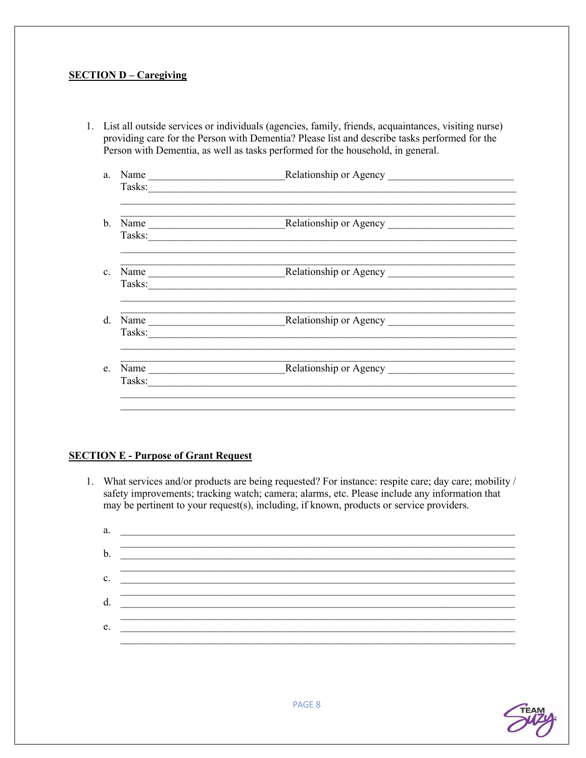#### **SECTION D – Caregiving**

- 1. List all outside services or individuals (agencies, family, friends, acquaintances, visiting nurse) providing care for the Person with Dementia? Please list and describe tasks performed for the Person with Dementia, as well as tasks performed for the household, in general.
	- a. Name Relationship or Agency Tasks: c. Name Relationship or Agency Tasks: e. Name Relationship or Agency Tasks:

### **SECTION E - Purpose of Grant Request**

1. What services and/or products are being requested? For instance: respite care; day care; mobility / safety improvements; tracking watch; camera; alarms, etc. Please include any information that may be pertinent to your request(s), including, if known, products or service providers.

| a. |  |
|----|--|
|    |  |
| b. |  |
|    |  |
| c. |  |
|    |  |
| d. |  |
|    |  |
| e. |  |
|    |  |

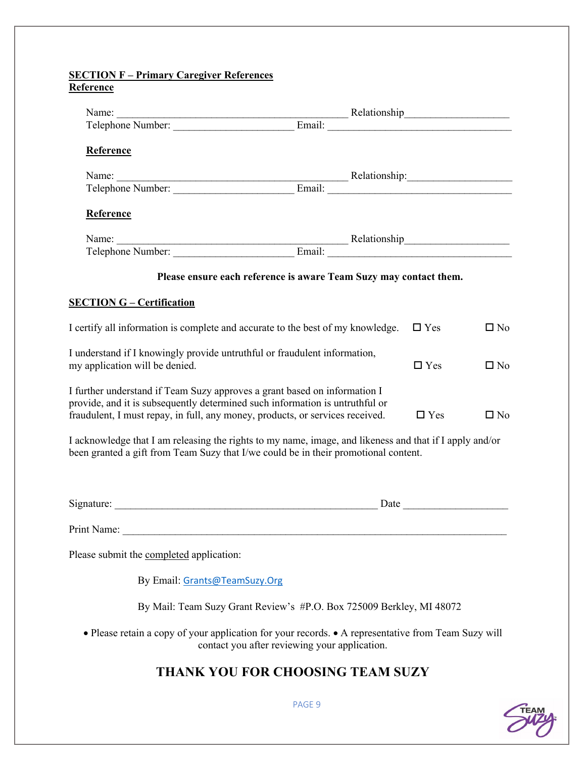#### **SECTION F – Primary Caregiver References Reference**

| Name: Relationship Relationship Relationship Relationship Relationship Relationship Relationship Relationship Relationship Relationship Relationship Relationship Relationship Relationship Relationship Relationship Relation             |                                                                      |                                                                                                                                                                                                                               |              |
|--------------------------------------------------------------------------------------------------------------------------------------------------------------------------------------------------------------------------------------------|----------------------------------------------------------------------|-------------------------------------------------------------------------------------------------------------------------------------------------------------------------------------------------------------------------------|--------------|
| <b>Reference</b>                                                                                                                                                                                                                           |                                                                      |                                                                                                                                                                                                                               |              |
|                                                                                                                                                                                                                                            |                                                                      |                                                                                                                                                                                                                               |              |
|                                                                                                                                                                                                                                            |                                                                      |                                                                                                                                                                                                                               |              |
| <b>Reference</b>                                                                                                                                                                                                                           |                                                                      |                                                                                                                                                                                                                               |              |
| Name: $\frac{1}{\sqrt{1-\frac{1}{2}}\cdot\frac{1}{2}}$                                                                                                                                                                                     |                                                                      |                                                                                                                                                                                                                               |              |
|                                                                                                                                                                                                                                            |                                                                      |                                                                                                                                                                                                                               |              |
| <b>SECTION G - Certification</b>                                                                                                                                                                                                           | Please ensure each reference is aware Team Suzy may contact them.    |                                                                                                                                                                                                                               |              |
| I certify all information is complete and accurate to the best of my knowledge.                                                                                                                                                            |                                                                      | $\Box$ Yes                                                                                                                                                                                                                    | $\square$ No |
| I understand if I knowingly provide untruthful or fraudulent information,<br>my application will be denied.                                                                                                                                |                                                                      | $\Box$ Yes                                                                                                                                                                                                                    | $\square$ No |
| I further understand if Team Suzy approves a grant based on information I<br>provide, and it is subsequently determined such information is untruthful or<br>fraudulent, I must repay, in full, any money, products, or services received. |                                                                      | $\Box$ Yes                                                                                                                                                                                                                    | $\square$ No |
| I acknowledge that I am releasing the rights to my name, image, and likeness and that if I apply and/or<br>been granted a gift from Team Suzy that I/we could be in their promotional content.                                             |                                                                      |                                                                                                                                                                                                                               |              |
|                                                                                                                                                                                                                                            |                                                                      | Date and the same state of the state of the state of the state of the state of the state of the state of the state of the state of the state of the state of the state of the state of the state of the state of the state of |              |
| Print Name:                                                                                                                                                                                                                                |                                                                      |                                                                                                                                                                                                                               |              |
| Please submit the completed application:                                                                                                                                                                                                   |                                                                      |                                                                                                                                                                                                                               |              |
| By Email: Grants@TeamSuzy.Org                                                                                                                                                                                                              |                                                                      |                                                                                                                                                                                                                               |              |
|                                                                                                                                                                                                                                            | By Mail: Team Suzy Grant Review's #P.O. Box 725009 Berkley, MI 48072 |                                                                                                                                                                                                                               |              |
| • Please retain a copy of your application for your records. • A representative from Team Suzy will                                                                                                                                        | contact you after reviewing your application.                        |                                                                                                                                                                                                                               |              |
|                                                                                                                                                                                                                                            | <b>THANK YOU FOR CHOOSING TEAM SUZY</b>                              |                                                                                                                                                                                                                               |              |
|                                                                                                                                                                                                                                            |                                                                      |                                                                                                                                                                                                                               |              |



PAGE 9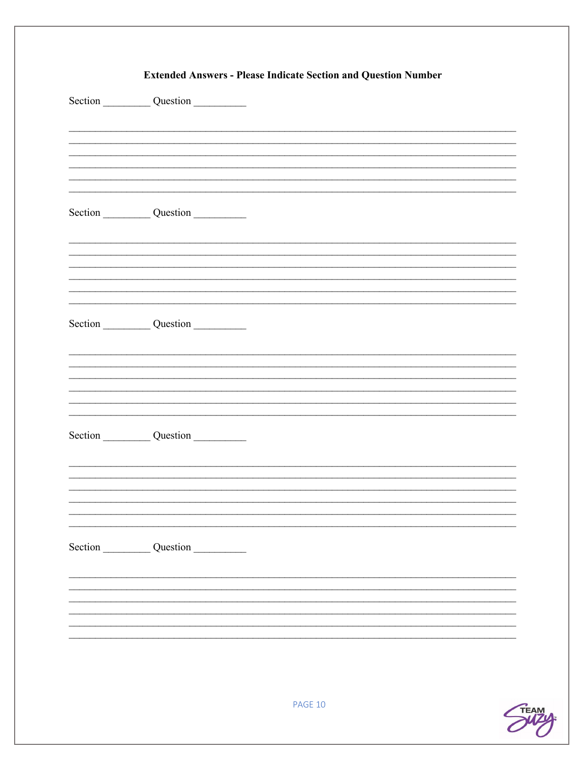| Section Question |         |  |
|------------------|---------|--|
| Section Question |         |  |
|                  |         |  |
| Section Question |         |  |
| Section Question |         |  |
|                  |         |  |
| Section Question |         |  |
|                  |         |  |
|                  | PAGE 10 |  |